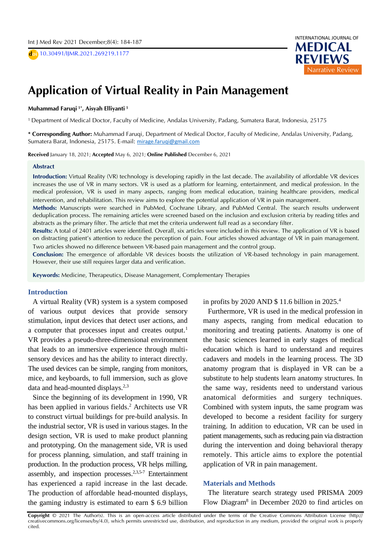D **doi** 10.30491/IJMR.2021.269219.1177



# **A** Application of Virtual Reality in Pain Management

# A **Muhammad Faruqi 1\* , Aisyah Elliyanti <sup>1</sup>**

S <sup>1</sup> Department of Medical Doctor, Faculty of Medicine, Andalas University, Padang, Sumatera Barat, Indonesia, 25175<br>.

**\* Corresponding Author:** Muhammad Faruqi, Department of Medical Doctor, Faculty of Medicine, Andalas University, Padang, Sumatera Barat, Indonesia, 25175. E-mail: [mirage.faruqi@gmail.com](mailto:mirage.faruqi@gmail.com)

**Received** January 18, 2021; **Accepted** May 6, 2021; **Online Published** December 6, 2021

#### **Abstract**

**Introduction:** Virtual Reality (VR) technology is developing rapidly in the last decade. The availability of affordable VR devices increases the use of VR in many sectors. VR is used as a platform for learning, entertainment, and medical profession. In the medical profession, VR is used in many aspects, ranging from medical education, training healthcare providers, medical intervention, and rehabilitation. This review aims to explore the potential application of VR in pain management.

**Methods:** Manuscripts were searched in PubMed, Cochrane Library, and PubMed Central. The search results underwent deduplication process. The remaining articles were screened based on the inclusion and exclusion criteria by reading titles and abstracts as the primary filter. The article that met the criteria underwent full read as a secondary filter.

**Results:** A total of 2401 articles were identified. Overall, six articles were included in this review. The application of VR is based on distracting patient's attention to reduce the perception of pain. Four articles showed advantage of VR in pain management. Two articles showed no difference between VR-based pain management and the control group.

**Conclusion:** The emergence of affordable VR devices boosts the utilization of VR-based technology in pain management. However, their use still requires larger data and verification.

**Keywords:** Medicine, Therapeutics, Disease Management, Complementary Therapies

#### **Introduction**

A virtual Reality (VR) system is a system composed of various output devices that provide sensory stimulation, input devices that detect user actions, and a computer that processes input and creates output.<sup>1</sup> VR provides a pseudo-three-dimensional environment that leads to an immersive experience through multisensory devices and has the ability to interact directly. The used devices can be simple, ranging from monitors, mice, and keyboards, to full immersion, such as glove data and head-mounted displays. $2,3$ 

Since the beginning of its development in 1990, VR has been applied in various fields. <sup>2</sup> Architects use VR to construct virtual buildings for pre-build analysis. In the industrial sector, VR is used in various stages. In the design section, VR is used to make product planning and prototyping. On the management side, VR is used for process planning, simulation, and staff training in production. In the production process, VR helps milling, assembly, and inspection processes.<sup>2,3,5-7</sup> Entertainment has experienced a rapid increase in the last decade. The production of affordable head-mounted displays, the gaming industry is estimated to earn \$ 6.9 billion

in profits by 2020 AND \$ 11.6 billion in 2025. 4

Furthermore, VR is used in the medical profession in many aspects, ranging from medical education to monitoring and treating patients. Anatomy is one of the basic sciences learned in early stages of medical education which is hard to understand and requires cadavers and models in the learning process. The 3D anatomy program that is displayed in VR can be a substitute to help students learn anatomy structures. In the same way, residents need to understand various anatomical deformities and surgery techniques. Combined with system inputs, the same program was developed to become a resident facility for surgery training. In addition to education, VR can be used in patient managements, such as reducing pain via distraction during the intervention and doing behavioral therapy remotely. This article aims to explore the potential application of VR in pain management.

#### **Materials and Methods**

The literature search strategy used PRISMA 2009 Flow Diagram<sup>8</sup> in December 2020 to find articles on

**Copyright** © 2021 The Author(s). This is an open-access article distributed under the terms of the Creative Commons Attribution License (http:// creativecommons.org/licenses/by/4.0), which permits unrestricted use, distribution, and reproduction in any medium, provided the original work is properly cited.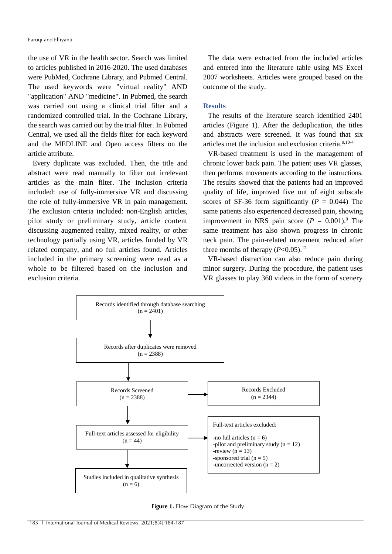the use of VR in the health sector. Search was limited to articles published in 2016-2020. The used databases were PubMed, Cochrane Library, and Pubmed Central. The used keywords were "virtual reality" AND "application" AND "medicine". In Pubmed, the search was carried out using a clinical trial filter and a randomized controlled trial. In the Cochrane Library, the search was carried out by the trial filter. In Pubmed Central, we used all the fields filter for each keyword and the MEDLINE and Open access filters on the article attribute.

Every duplicate was excluded. Then, the title and abstract were read manually to filter out irrelevant articles as the main filter. The inclusion criteria included: use of fully-immersive VR and discussing the role of fully-immersive VR in pain management. The exclusion criteria included: non-English articles, pilot study or preliminary study, article content discussing augmented reality, mixed reality, or other technology partially using VR, articles funded by VR related company, and no full articles found. Articles included in the primary screening were read as a whole to be filtered based on the inclusion and exclusion criteria.

The data were extracted from the included articles and entered into the literature table using MS Excel 2007 worksheets. Articles were grouped based on the outcome of the study.

# **Results**

The results of the literature search identified 2401 articles (Figure 1). After the deduplication, the titles and abstracts were screened. It was found that six articles met the inclusion and exclusion criteria. 9,10-4

VR-based treatment is used in the management of chronic lower back pain. The patient uses VR glasses, then performs movements according to the instructions. The results showed that the patients had an improved quality of life, improved five out of eight subscale scores of SF-36 form significantly ( $P = 0.044$ ) The same patients also experienced decreased pain, showing improvement in NRS pain score  $(P = 0.001)^9$ . The same treatment has also shown progress in chronic neck pain. The pain-related movement reduced after three months of therapy  $(P<0.05)$ .<sup>12</sup>

VR-based distraction can also reduce pain during minor surgery. During the procedure, the patient uses VR glasses to play 360 videos in the form of scenery



**Figure 1.** Flow Diagram of the Study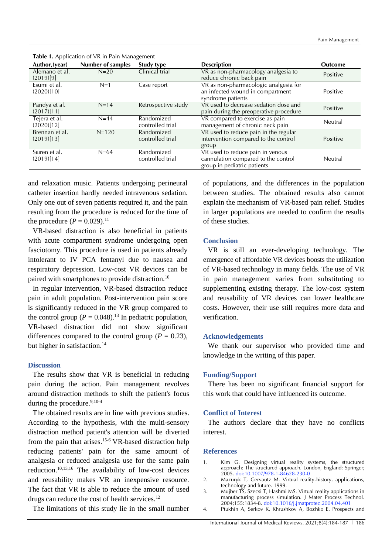| Author, (year)               | Number of samples | Study type                     | <b>Description</b>                                                                                     | <b>Outcome</b> |
|------------------------------|-------------------|--------------------------------|--------------------------------------------------------------------------------------------------------|----------------|
| Alemano et al.<br>(2019)[9]  | $N = 20$          | Clinical trial                 | VR as non-pharmacology analgesia to<br>reduce chronic back pain                                        | Positive       |
| Esumi et al.<br>(2020)[10]   | $N=1$             | Case report                    | VR as non-pharmacologic analgesia for<br>an infected wound in compartment<br>syndrome patients         | Positive       |
| Pandya et al.<br>(2017)[11]  | $N=14$            | Retrospective study            | VR used to decrease sedation dose and<br>pain during the preoperative procedure                        | Positive       |
| Tejera et al.<br>(2020)[12]  | $N=44$            | Randomized<br>controlled trial | VR compared to exercise as pain<br>management of chronic neck pain                                     | Neutral        |
| Brennan et al.<br>(2019)[13] | $N = 120$         | Randomized<br>controlled trial | VR used to reduce pain in the regular<br>intervention compared to the control<br>group                 | Positive       |
| Suren et al.<br>(2019)[14]   | $N=64$            | Randomized<br>controlled trial | VR used to reduce pain in venous<br>cannulation compared to the control<br>group in pediatric patients | Neutral        |

**Table 1.** Application of VR in Pain Management

and relaxation music. Patients undergoing perineural catheter insertion hardly needed intravenous sedation. Only one out of seven patients required it, and the pain resulting from the procedure is reduced for the time of the procedure  $(P = 0.029).$ <sup>11</sup>

VR-based distraction is also beneficial in patients with acute compartment syndrome undergoing open fasciotomy. This procedure is used in patients already intolerant to IV PCA fentanyl due to nausea and respiratory depression. Low-cost VR devices can be paired with smartphones to provide distraction.<sup>10</sup>

In regular intervention, VR-based distraction reduce pain in adult population. Post-intervention pain score is significantly reduced in the VR group compared to the control group  $(P = 0.048)^{13}$  In pediatric population, VR-based distraction did not show significant differences compared to the control group ( $P = 0.23$ ), but higher in satisfaction.<sup>14</sup>

### **Discussion**

The results show that VR is beneficial in reducing pain during the action. Pain management revolves around distraction methods to shift the patient's focus during the procedure. 9,10-4

The obtained results are in line with previous studies. According to the hypothesis, with the multi-sensory distraction method patient's attention will be diverted from the pain that arises. 15-6 VR-based distraction help reducing patients' pain for the same amount of analgesia or reduced analgesia use for the same pain reduction.<sup>10,13,16</sup> The availability of low-cost devices and reusability makes VR an inexpensive resource. The fact that VR is able to reduce the amount of used drugs can reduce the cost of health services.<sup>12</sup>

The limitations of this study lie in the small number

of populations, and the differences in the population between studies. The obtained results also cannot explain the mechanism of VR-based pain relief. Studies in larger populations are needed to confirm the results of these studies.

# **Conclusion**

VR is still an ever-developing technology. The emergence of affordable VR devices boosts the utilization of VR-based technology in many fields. The use of VR in pain management varies from substituting to supplementing existing therapy. The low-cost system and reusability of VR devices can lower healthcare costs. However, their use still requires more data and verification.

### **Acknowledgements**

We thank our supervisor who provided time and knowledge in the writing of this paper.

## **Funding/Support**

There has been no significant financial support for this work that could have influenced its outcome.

### **Conflict of Interest**

The authors declare that they have no conflicts interest.

# **References**

- 1. Kim G. Designing virtual reality systems, the structured approach: The structured approach. London, England: Springer; 2005. doi:10.1007/978-1-84628-230-0
- 2. Mazuryk T, Gervautz M. Virtual reality-history, applications, technology and future. 1999.
- 3. Mujber TS, Szecsi T, Hashmi MS. Virtual reality applications in manufacturing process simulation. J Mater Process Technol. 2004;155:1834-8. [doi:10.1016/j.jmatprotec.2004.04.401](https://doi.org/10.1016/j.jmatprotec.2004.04.401)
- 4. Ptukhin A, Serkov K, Khrushkov A, Bozhko E. Prospects and